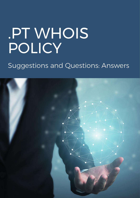# .PT WHOIS POLICY

Suggestions and Questions: Answers

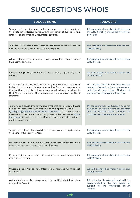### SUGGESTIONS WHOIS

| <b>SUGGESTIONS</b>                                                                                                                                                                                                                                                                                                                                                                      | <b>ANSWERS</b>                                                                                                                                                           |
|-----------------------------------------------------------------------------------------------------------------------------------------------------------------------------------------------------------------------------------------------------------------------------------------------------------------------------------------------------------------------------------------|--------------------------------------------------------------------------------------------------------------------------------------------------------------------------|
| To give customers the opportunity to change, correct or update all                                                                                                                                                                                                                                                                                                                      | This suggestion is consistent with the new                                                                                                                               |
| their data in the Reserved Area, with the exception of the Nic-Handle,                                                                                                                                                                                                                                                                                                                  | .PT WHOIS Policy and Domain Registra-                                                                                                                                    |
| since it is an automatically generated identifier.                                                                                                                                                                                                                                                                                                                                      | tion Rules                                                                                                                                                               |
| To define WHOIS data automatically as confidential and the client must                                                                                                                                                                                                                                                                                                                  | This suggestion is consistent with the new                                                                                                                               |
| send an email to DNS.PT if he wants it to be public.                                                                                                                                                                                                                                                                                                                                    | <b>WHOIS Policy</b>                                                                                                                                                      |
| Allow customers to request deletion of their contact if they no longer                                                                                                                                                                                                                                                                                                                  | This suggestion is consistent with the new                                                                                                                               |
| have active domains.                                                                                                                                                                                                                                                                                                                                                                    | <b>WHOIS Policy</b>                                                                                                                                                      |
| Instead of appearing "Confidential Information", appear only "Con-                                                                                                                                                                                                                                                                                                                      | We will change it to make it easier and                                                                                                                                  |
| fidential"                                                                                                                                                                                                                                                                                                                                                                              | clearer to read.                                                                                                                                                         |
| In addition to the possibility of inserting the real email address, or<br>hiding it and forcing the use of an online form, it is suggested a<br>third option which is to have a true email address provided by<br>DNS.PT that forward all the messages to the true email (ex. Gandi<br>registrar)                                                                                       | .PT considers that this function does not<br>belong to the registry but to the registrar,<br>or to the domain holder. .PT does not<br>provide email management services. |
| To define as a possibility a forwarding email that can be created/modi-<br>fied, online, in real time. As an example, it would appear in whois:<br>kjfllaiiqowejfjhdjfkaueirqoh34h@contacts.dns.pt, that would send<br>the emails to the true address, changing only the part before @con-<br>tacts.dns.pt to anything else randomly requested and immediately<br>applied in real time. | .PT considers that this function does not<br>belong to the registry but to the registrar,<br>or to the domain holder. .PT does not<br>provide email management services. |
| To give the customer the possibility to change, correct or update all of                                                                                                                                                                                                                                                                                                                | This suggestion is consistent with the new                                                                                                                               |
| their data in the Reserved Area.                                                                                                                                                                                                                                                                                                                                                        | <b>WHOIS Policy</b>                                                                                                                                                      |
| By default, the customer data should be confidential/private, either                                                                                                                                                                                                                                                                                                                    | This suggestion is consistent with the new                                                                                                                               |
| when creating new contacts or for existing ones                                                                                                                                                                                                                                                                                                                                         | <b>WHOIS Policy</b>                                                                                                                                                      |
| If the client does not have active domains, he could request the                                                                                                                                                                                                                                                                                                                        | This suggestion is consistent with the new                                                                                                                               |
| deletion of his contact                                                                                                                                                                                                                                                                                                                                                                 | <b>WHOIS Policy</b>                                                                                                                                                      |
| Where we read "Confidential Information", just read "Confidential"                                                                                                                                                                                                                                                                                                                      | We will change it to make it easier and                                                                                                                                  |
| or "Private".                                                                                                                                                                                                                                                                                                                                                                           | clearer to read.                                                                                                                                                         |
| Authentication on the dns.pt portal by qualified digital signature<br>using citizen's card.                                                                                                                                                                                                                                                                                             | This situation is planned and will be<br>contemplated in the new system of<br>support for the registration of .pt<br>domains.                                            |

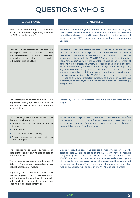### QUESTIONS WHOIS

### QUESTIONS ANSWERS

How will the new changes to the Whois and to the process of registering domains via EPP be implemented?

How should the statement of consent be made/presented (a checkbox on the domain registration form? Or should ther be a written consent signed by the holder to be submitted to DNS?)

We would like to draw your attention to the email sent on May 4th, which we hope will answer your questions. Any additional questions should be addressed to rgpd@dns.pt. Regarding the transmission of consent through EPP, in next few days you will receive information about it.

Consent will follow the procedures of the GDPR. In this particular case there will be an unequivocal positive act of the holder of the personal data authorizing the respective availability in the WHOIS. In practical terms, and as foreseen in the .PT WHOIS Policy, at the time of registration a "check box" containing the content related to the statement of consent will be presented which, in order to be valid and effective, must be accepted by the data holder. In registrations via registrars, registrars will have to guarantee that the data holder has been informed about the possibility, scope and conditions, of making their personal data available in the WHOIS. Registrars have also to prove to .PT that all the data protection procedures have been carried out including, in this scope, the obligation to send proof of consent to .pt, if requested.

Consent regarding existing domains will be requested directly by DNS Association to the data holders or will it be a registrars responsibility?

Dns.pt already has some documentation that can provide about:

- Personal data to be transferred to Dns.pt;
- Whois Policy;
- **Domain Transfer Procedure:**
- Other relevant processes that has been changed.

The changes to be made in respect of data protection are only related to data of natural persons;

The request for consent to publication of data in Whois is only applicable when natural persons are involved;

Regarding the anonymised information that will appear in Whois, if consent is not obtained, what information will be available and do the registrars have any specific obligation regarding it?

Directly by .PT or EPP platform, through a field available for this purpose.

All documentation provided in this context is available at https://www.dns.pt/rgpd/. If you have further questions please send an email to rgpd@dns.pt. Regarding the process of domain transfer, there will be no significant changes.

Except in identified cases, the proposed amendments concern only personal data within the scope of the GDPR. Whenever consent is not given by the data holders to disclosure their contacts in the WHOIS - name; address and e-mail - an anonymised contact option will be available where, using a form, the message will be forwarded to the domain holder. Thus, if the consent is not given, the information associated will appear in the WHOIS as confidential.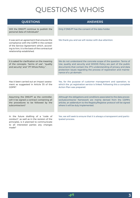## QUESTIONS WHOIS

| <b>QUESTIONS</b>                                                                                                                                                                                               | <b>ANSWERS</b>                                                                                                                                                                                                                                                                                                |
|----------------------------------------------------------------------------------------------------------------------------------------------------------------------------------------------------------------|---------------------------------------------------------------------------------------------------------------------------------------------------------------------------------------------------------------------------------------------------------------------------------------------------------------|
| Will the DNS.PT continue to publish the<br>personal data of individuals?                                                                                                                                       | Only if DNS.PT has the consent of the data holder.                                                                                                                                                                                                                                                            |
| It was sent an agreement that ensures the<br>compliance with the GDPR in the context<br>of the Service Agreement which, accord-<br>ing to him, it is the basis of the contractual<br>relationship established. | We thank you and we will review with due attention.                                                                                                                                                                                                                                                           |
| It is asked for clarification on the meaning<br>of the concepts: "terms of use", "quality<br>and security" and ".PT Whois Policy ".                                                                            | We do not understand the concrete scope of the question. Terms of<br>Use; quality and security and WHOIS Policy are part of the public<br>documents that contain the .PT's understanding of privacy and data<br>protection issues regarding the process of registration and mainte-<br>nance of a .pt domain. |
| Has it been carried out an impact assess-<br>ment as suggested in Article 35 of the<br>GDPR?                                                                                                                   | Yes, for the purpose of customer management and operation, to<br>which the .pt registration service is linked. Following this a complete<br>Action Plan was prepared.                                                                                                                                         |
| Assuming the DNS.PT as the controller,<br>will it be signed a contract containing all<br>the procedures to be followed by the<br>subcontractors?                                                               | Although the obligations and conditions associated to the data proces-<br>sor/subcontractor framework are mainly derived from the GDPR's<br>articles, an addendum to the Registry/Registrar protocol will be signed<br>where it will be duly implemented.                                                     |
| In the future drafting of a "code of<br>conduct", as well as in the revision of the<br>principles, is it planned to communicate<br>to all interested parties any changes                                       | Yes, we will seek to ensure that it is always a transparent and partic-<br>ipated process.                                                                                                                                                                                                                    |

made?